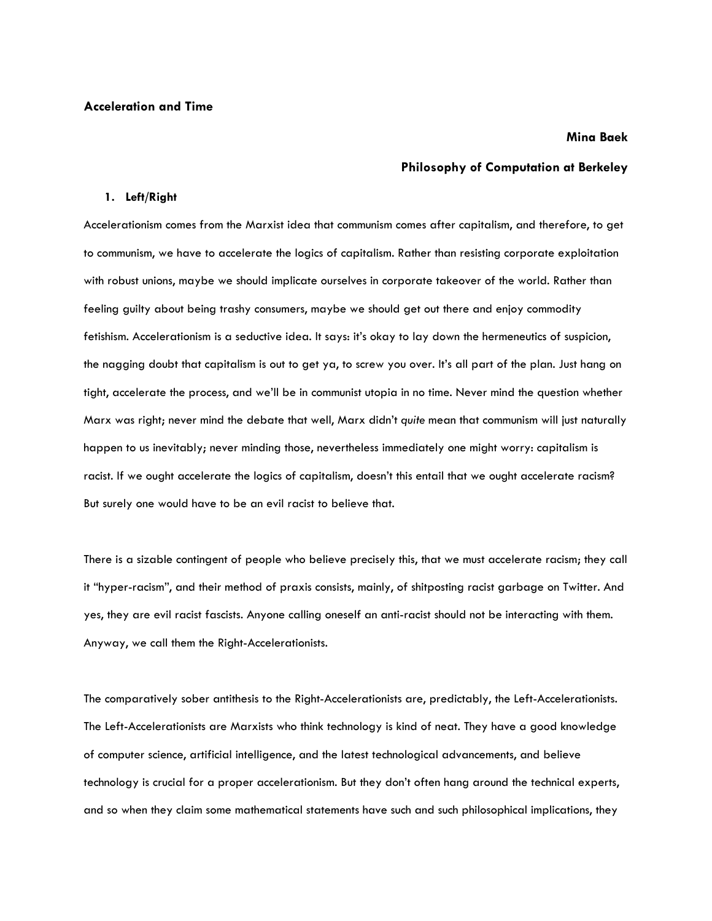## **Mina Baek**

# **Philosophy of Computation at Berkeley**

# **1. Left/Right**

Accelerationism comes from the Marxist idea that communism comes after capitalism, and therefore, to get to communism, we have to accelerate the logics of capitalism. Rather than resisting corporate exploitation with robust unions, maybe we should implicate ourselves in corporate takeover of the world. Rather than feeling guilty about being trashy consumers, maybe we should get out there and enjoy commodity fetishism. Accelerationism is a seductive idea. It says: it's okay to lay down the hermeneutics of suspicion, the nagging doubt that capitalism is out to get ya, to screw you over. It's all part of the plan. Just hang on tight, accelerate the process, and we'll be in communist utopia in no time. Never mind the question whether Marx was right; never mind the debate that well, Marx didn't *quite* mean that communism will just naturally happen to us inevitably; never minding those, nevertheless immediately one might worry: capitalism is racist. If we ought accelerate the logics of capitalism, doesn't this entail that we ought accelerate racism? But surely one would have to be an evil racist to believe that.

There is a sizable contingent of people who believe precisely this, that we must accelerate racism; they call it "hyper-racism", and their method of praxis consists, mainly, of shitposting racist garbage on Twitter. And yes, they are evil racist fascists. Anyone calling oneself an anti-racist should not be interacting with them. Anyway, we call them the Right-Accelerationists.

The comparatively sober antithesis to the Right-Accelerationists are, predictably, the Left-Accelerationists. The Left-Accelerationists are Marxists who think technology is kind of neat. They have a good knowledge of computer science, artificial intelligence, and the latest technological advancements, and believe technology is crucial for a proper accelerationism. But they don't often hang around the technical experts, and so when they claim some mathematical statements have such and such philosophical implications, they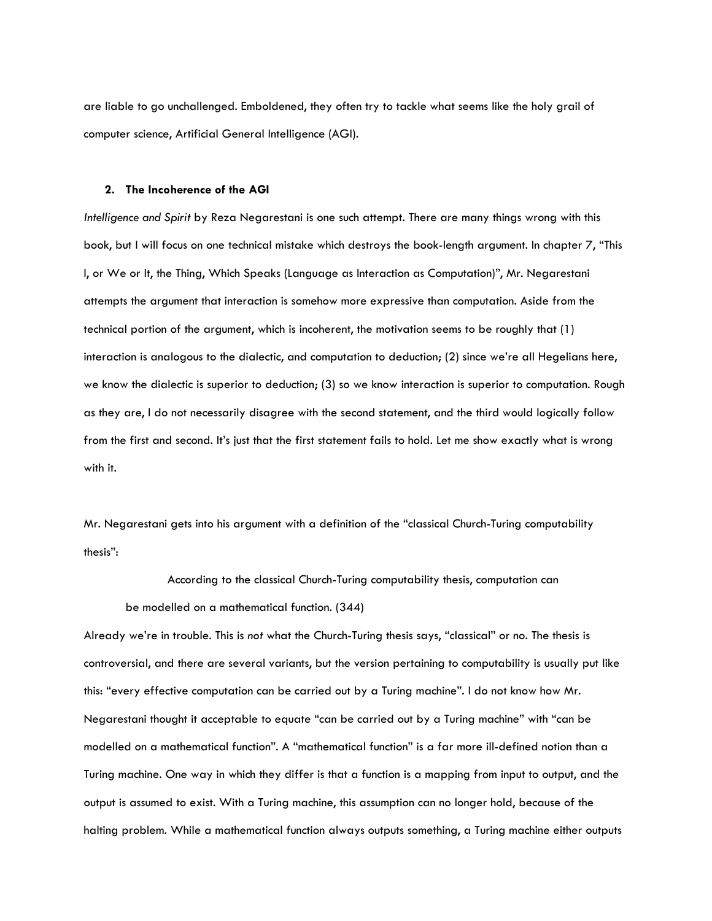are liable to go unchallenged. Emboldened, they often try to tackle what seems like the holy grail of computer science, Artificial General Intelligence (AGI).

#### **2. The Incoherence of the AGI**

*Intelligence and Spirit* by Reza Negarestani is one such attempt. There are many things wrong with this book, but I will focus on one technical mistake which destroys the book-length argument. In chapter 7, "This I, or We or It, the Thing, Which Speaks (Language as Interaction as Computation)", Mr. Negarestani attempts the argument that interaction is somehow more expressive than computation. Aside from the technical portion of the argument, which is incoherent, the motivation seems to be roughly that (1) interaction is analogous to the dialectic, and computation to deduction; (2) since we're all Hegelians here, we know the dialectic is superior to deduction; (3) so we know interaction is superior to computation. Rough as they are, I do not necessarily disagree with the second statement, and the third would logically follow from the first and second. It's just that the first statement fails to hold. Let me show exactly what is wrong with it.

Mr. Negarestani gets into his argument with a definition of the "classical Church-Turing computability thesis":

According to the classical Church-Turing computability thesis, computation can be modelled on a mathematical function. (344)

Already we're in trouble. This is *not* what the Church-Turing thesis says, "classical" or no. The thesis is controversial, and there are several variants, but the version pertaining to computability is usually put like this: "every effective computation can be carried out by a Turing machine". I do not know how Mr. Negarestani thought it acceptable to equate "can be carried out by a Turing machine" with "can be modelled on a mathematical function". A "mathematical function" is a far more ill-defined notion than a Turing machine. One way in which they differ is that a function is a mapping from input to output, and the output is assumed to exist. With a Turing machine, this assumption can no longer hold, because of the halting problem. While a mathematical function always outputs something, a Turing machine either outputs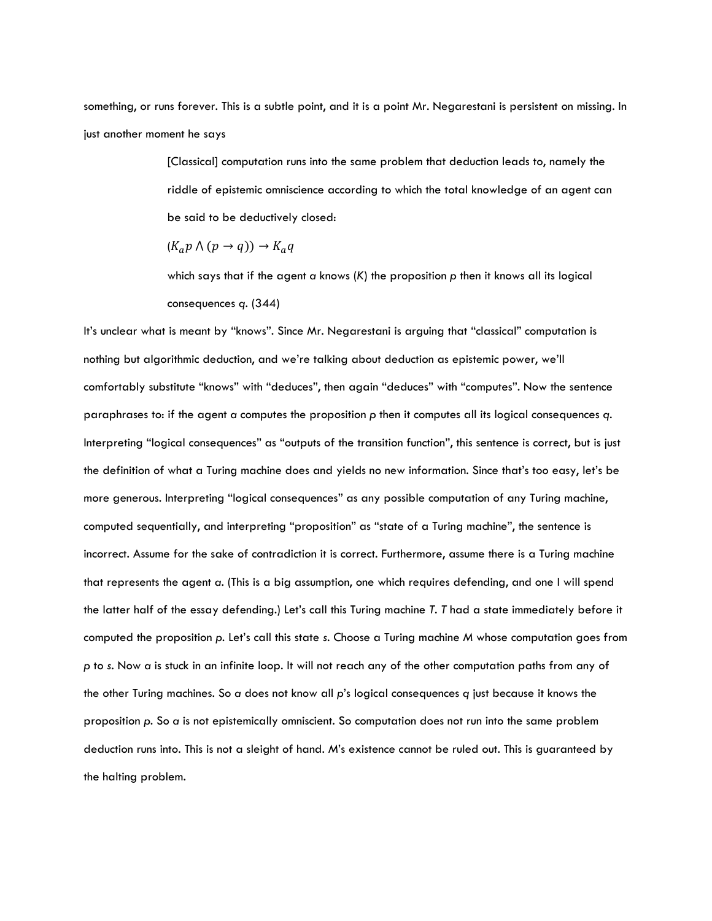something, or runs forever. This is a subtle point, and it is a point Mr. Negarestani is persistent on missing. In just another moment he says

> [Classical] computation runs into the same problem that deduction leads to, namely the riddle of epistemic omniscience according to which the total knowledge of an agent can be said to be deductively closed:

 $(K_a p \wedge (p \rightarrow q)) \rightarrow K_a q$ 

which says that if the agent *a* knows (*K*) the proposition *p* then it knows all its logical consequences *q*. (344)

It's unclear what is meant by "knows". Since Mr. Negarestani is arguing that "classical" computation is nothing but algorithmic deduction, and we're talking about deduction as epistemic power, we'll comfortably substitute "knows" with "deduces", then again "deduces" with "computes". Now the sentence paraphrases to: if the agent *a* computes the proposition *p* then it computes all its logical consequences *q*. Interpreting "logical consequences" as "outputs of the transition function", this sentence is correct, but is just the definition of what a Turing machine does and yields no new information. Since that's too easy, let's be more generous. Interpreting "logical consequences" as any possible computation of any Turing machine, computed sequentially, and interpreting "proposition" as "state of a Turing machine", the sentence is incorrect. Assume for the sake of contradiction it is correct. Furthermore, assume there is a Turing machine that represents the agent *a*. (This is a big assumption, one which requires defending, and one I will spend the latter half of the essay defending.) Let's call this Turing machine *T*. *T* had a state immediately before it computed the proposition *p*. Let's call this state *s*. Choose a Turing machine *M* whose computation goes from *p* to *s*. Now *a* is stuck in an infinite loop. It will not reach any of the other computation paths from any of the other Turing machines. So *a* does not know all *p*'s logical consequences *q* just because it knows the proposition *p*. So *a* is not epistemically omniscient. So computation does not run into the same problem deduction runs into. This is not a sleight of hand. *M*'s existence cannot be ruled out. This is guaranteed by the halting problem.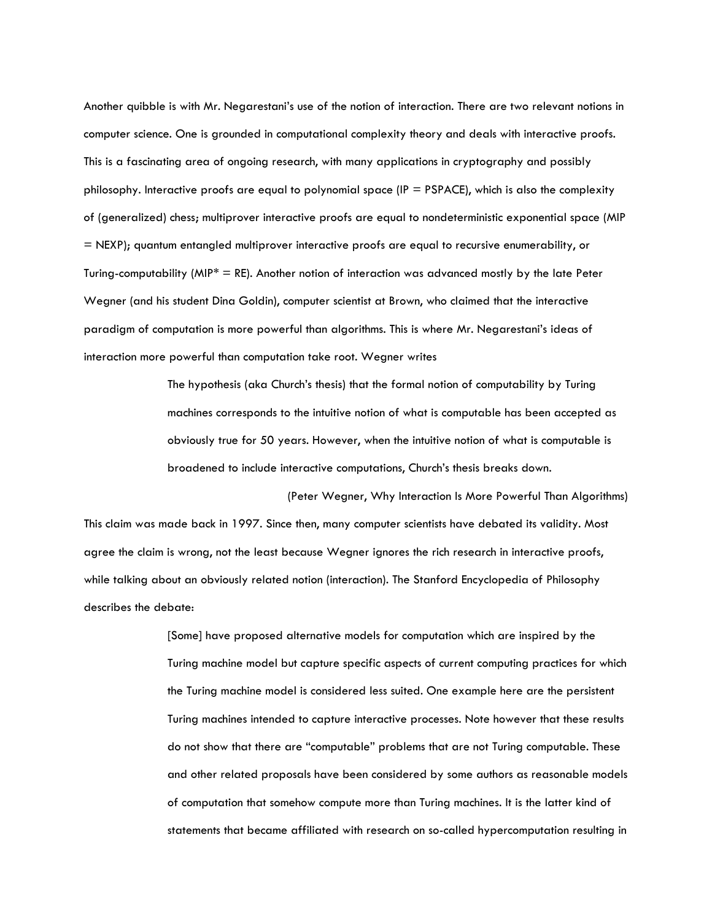Another quibble is with Mr. Negarestani's use of the notion of interaction. There are two relevant notions in computer science. One is grounded in computational complexity theory and deals with interactive proofs. This is a fascinating area of ongoing research, with many applications in cryptography and possibly philosophy. Interactive proofs are equal to polynomial space ( $IP = PSPACE$ ), which is also the complexity of (generalized) chess; multiprover interactive proofs are equal to nondeterministic exponential space (MIP = NEXP); quantum entangled multiprover interactive proofs are equal to recursive enumerability, or Turing-computability (MIP<sup>\*</sup> = RE). Another notion of interaction was advanced mostly by the late Peter Wegner (and his student Dina Goldin), computer scientist at Brown, who claimed that the interactive paradigm of computation is more powerful than algorithms. This is where Mr. Negarestani's ideas of interaction more powerful than computation take root. Wegner writes

> The hypothesis (aka Church's thesis) that the formal notion of computability by Turing machines corresponds to the intuitive notion of what is computable has been accepted as obviously true for 50 years. However, when the intuitive notion of what is computable is broadened to include interactive computations, Church's thesis breaks down.

(Peter Wegner, Why Interaction Is More Powerful Than Algorithms) This claim was made back in 1997. Since then, many computer scientists have debated its validity. Most agree the claim is wrong, not the least because Wegner ignores the rich research in interactive proofs, while talking about an obviously related notion (interaction). The Stanford Encyclopedia of Philosophy describes the debate:

> [Some] have proposed alternative models for computation which are inspired by the Turing machine model but capture specific aspects of current computing practices for which the Turing machine model is considered less suited. One example here are the persistent Turing machines intended to capture interactive processes. Note however that these results do not show that there are "computable" problems that are not Turing computable. These and other related proposals have been considered by some authors as reasonable models of computation that somehow compute more than Turing machines. It is the latter kind of statements that became affiliated with research on so-called hypercomputation resulting in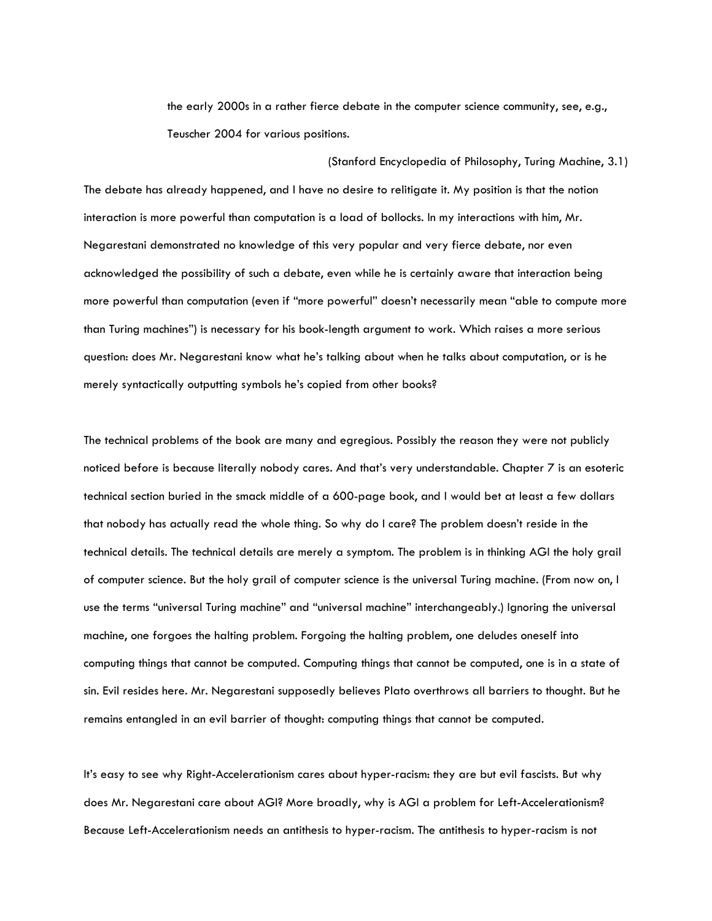the early 2000s in a rather fierce debate in the computer science community, see, e.g., Teuscher 2004 for various positions.

(Stanford Encyclopedia of Philosophy, Turing Machine, 3.1)

The debate has already happened, and I have no desire to relitigate it. My position is that the notion interaction is more powerful than computation is a load of bollocks. In my interactions with him, Mr. Negarestani demonstrated no knowledge of this very popular and very fierce debate, nor even acknowledged the possibility of such a debate, even while he is certainly aware that interaction being more powerful than computation (even if "more powerful" doesn't necessarily mean "able to compute more than Turing machines") is necessary for his book-length argument to work. Which raises a more serious question: does Mr. Negarestani know what he's talking about when he talks about computation, or is he merely syntactically outputting symbols he's copied from other books?

The technical problems of the book are many and egregious. Possibly the reason they were not publicly noticed before is because literally nobody cares. And that's very understandable. Chapter 7 is an esoteric technical section buried in the smack middle of a 600-page book, and I would bet at least a few dollars that nobody has actually read the whole thing. So why do I care? The problem doesn't reside in the technical details. The technical details are merely a symptom. The problem is in thinking AGI the holy grail of computer science. But the holy grail of computer science is the universal Turing machine. (From now on, I use the terms "universal Turing machine" and "universal machine" interchangeably.) Ignoring the universal machine, one forgoes the halting problem. Forgoing the halting problem, one deludes oneself into computing things that cannot be computed. Computing things that cannot be computed, one is in a state of sin. Evil resides here. Mr. Negarestani supposedly believes Plato overthrows all barriers to thought. But he remains entangled in an evil barrier of thought: computing things that cannot be computed.

It's easy to see why Right-Accelerationism cares about hyper-racism: they are but evil fascists. But why does Mr. Negarestani care about AGI? More broadly, why is AGI a problem for Left-Accelerationism? Because Left-Accelerationism needs an antithesis to hyper-racism. The antithesis to hyper-racism is not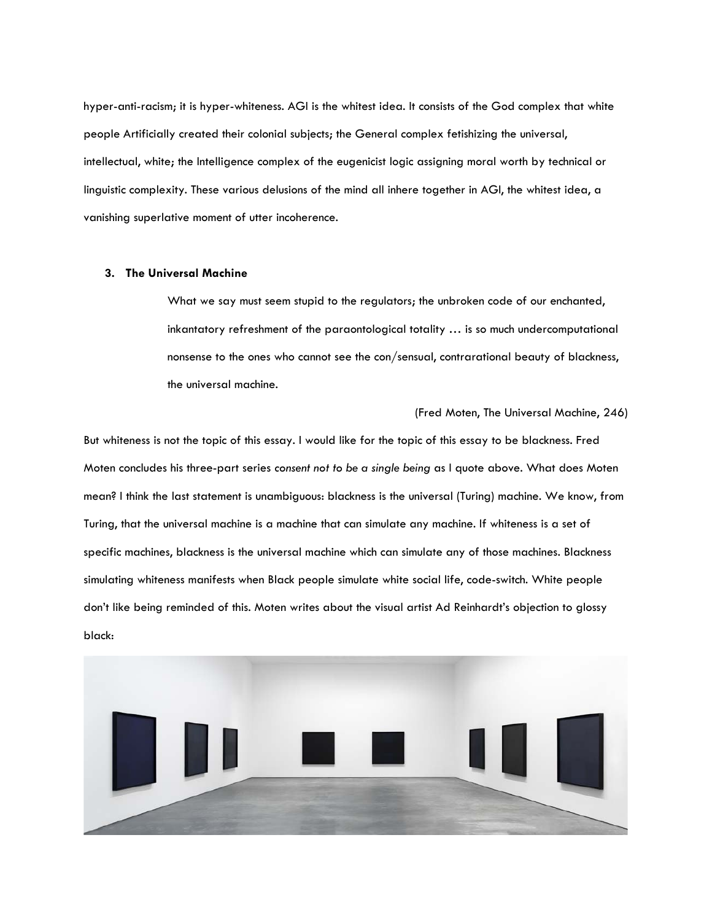hyper-anti-racism; it is hyper-whiteness. AGI is the whitest idea. It consists of the God complex that white people Artificially created their colonial subjects; the General complex fetishizing the universal, intellectual, white; the Intelligence complex of the eugenicist logic assigning moral worth by technical or linguistic complexity. These various delusions of the mind all inhere together in AGI, the whitest idea, a vanishing superlative moment of utter incoherence.

## **3. The Universal Machine**

What we say must seem stupid to the regulators; the unbroken code of our enchanted, inkantatory refreshment of the paraontological totality … is so much undercomputational nonsense to the ones who cannot see the con/sensual, contrarational beauty of blackness, the universal machine.

## (Fred Moten, The Universal Machine, 246)

But whiteness is not the topic of this essay. I would like for the topic of this essay to be blackness. Fred Moten concludes his three-part series *consent not to be a single being* as I quote above. What does Moten mean? I think the last statement is unambiguous: blackness is the universal (Turing) machine. We know, from Turing, that the universal machine is a machine that can simulate any machine. If whiteness is a set of specific machines, blackness is the universal machine which can simulate any of those machines. Blackness simulating whiteness manifests when Black people simulate white social life, code-switch. White people don't like being reminded of this. Moten writes about the visual artist Ad Reinhardt's objection to glossy black:

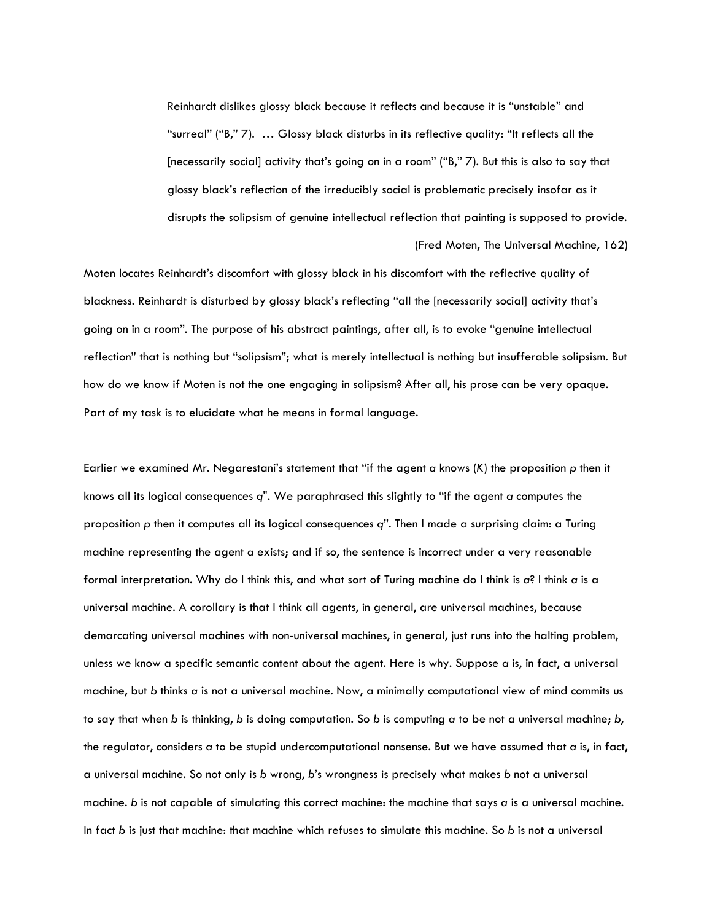Reinhardt dislikes glossy black because it reflects and because it is "unstable" and "surreal" ("B," 7). … Glossy black disturbs in its reflective quality: "It reflects all the [necessarily social] activity that's going on in a room" ("B," 7). But this is also to say that glossy black's reflection of the irreducibly social is problematic precisely insofar as it disrupts the solipsism of genuine intellectual reflection that painting is supposed to provide. (Fred Moten, The Universal Machine, 162)

Moten locates Reinhardt's discomfort with glossy black in his discomfort with the reflective quality of blackness. Reinhardt is disturbed by glossy black's reflecting "all the [necessarily social] activity that's going on in a room". The purpose of his abstract paintings, after all, is to evoke "genuine intellectual reflection" that is nothing but "solipsism"; what is merely intellectual is nothing but insufferable solipsism. But how do we know if Moten is not the one engaging in solipsism? After all, his prose can be very opaque. Part of my task is to elucidate what he means in formal language.

Earlier we examined Mr. Negarestani's statement that "if the agent *a* knows (*K*) the proposition *p* then it knows all its logical consequences *q*". We paraphrased this slightly to "if the agent *a* computes the proposition *p* then it computes all its logical consequences *q*". Then I made a surprising claim: a Turing machine representing the agent *a* exists; and if so, the sentence is incorrect under a very reasonable formal interpretation. Why do I think this, and what sort of Turing machine do I think is *a*? I think *a* is a universal machine. A corollary is that I think all agents, in general, are universal machines, because demarcating universal machines with non-universal machines, in general, just runs into the halting problem, unless we know a specific semantic content about the agent. Here is why. Suppose *a* is, in fact, a universal machine, but *b* thinks *a* is not a universal machine. Now, a minimally computational view of mind commits us to say that when *b* is thinking, *b* is doing computation. So *b* is computing *a* to be not a universal machine; *b*, the regulator, considers *a* to be stupid undercomputational nonsense. But we have assumed that *a* is, in fact, a universal machine. So not only is *b* wrong, *b*'s wrongness is precisely what makes *b* not a universal machine. *b* is not capable of simulating this correct machine: the machine that says *a* is a universal machine. In fact *b* is just that machine: that machine which refuses to simulate this machine. So *b* is not a universal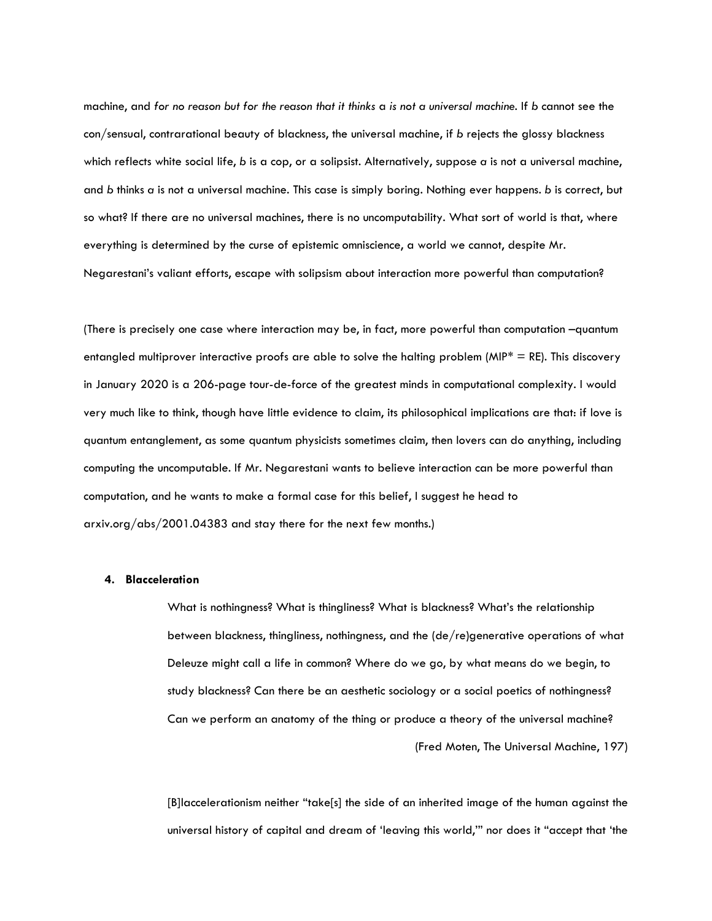machine, and *for no reason but for the reason that it thinks* a *is not a universal machine.* If *b* cannot see the con/sensual, contrarational beauty of blackness, the universal machine, if *b* rejects the glossy blackness which reflects white social life, *b* is a cop, or a solipsist. Alternatively, suppose *a* is not a universal machine, and *b* thinks *a* is not a universal machine. This case is simply boring. Nothing ever happens. *b* is correct, but so what? If there are no universal machines, there is no uncomputability. What sort of world is that, where everything is determined by the curse of epistemic omniscience, a world we cannot, despite Mr. Negarestani's valiant efforts, escape with solipsism about interaction more powerful than computation?

(There is precisely one case where interaction may be, in fact, more powerful than computation –quantum entangled multiprover interactive proofs are able to solve the halting problem ( $MIP^* = RE$ ). This discovery in January 2020 is a 206-page tour-de-force of the greatest minds in computational complexity. I would very much like to think, though have little evidence to claim, its philosophical implications are that: if love is quantum entanglement, as some quantum physicists sometimes claim, then lovers can do anything, including computing the uncomputable. If Mr. Negarestani wants to believe interaction can be more powerful than computation, and he wants to make a formal case for this belief, I suggest he head to arxiv.org/abs/2001.04383 and stay there for the next few months.)

#### **4. Blacceleration**

What is nothingness? What is thingliness? What is blackness? What's the relationship between blackness, thingliness, nothingness, and the (de/re)generative operations of what Deleuze might call a life in common? Where do we go, by what means do we begin, to study blackness? Can there be an aesthetic sociology or a social poetics of nothingness? Can we perform an anatomy of the thing or produce a theory of the universal machine? (Fred Moten, The Universal Machine, 197)

[B]laccelerationism neither "take[s] the side of an inherited image of the human against the universal history of capital and dream of 'leaving this world,'" nor does it "accept that 'the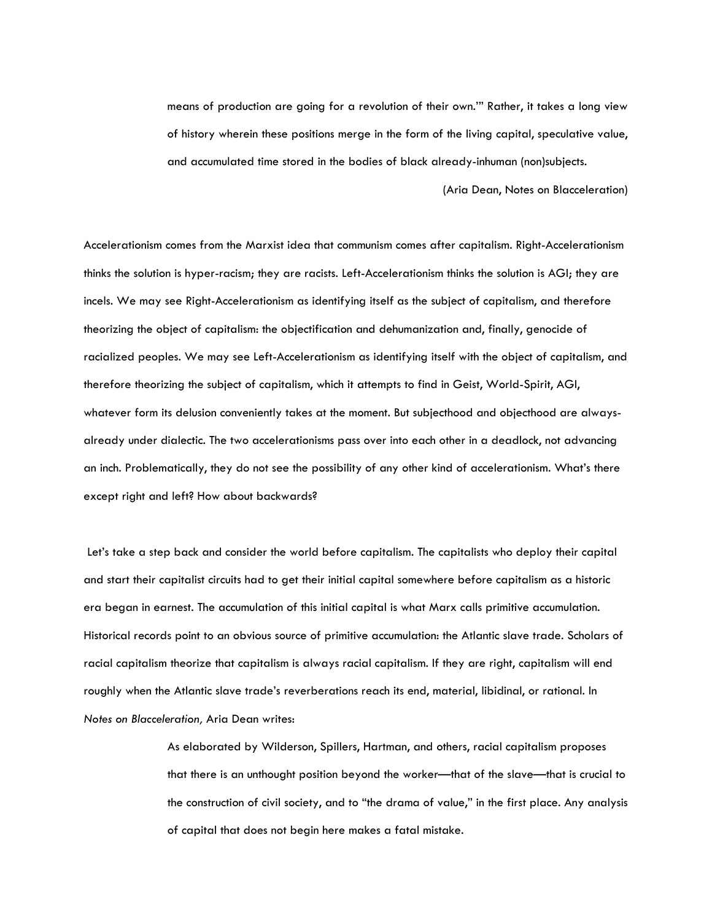means of production are going for a revolution of their own.'" Rather, it takes a long view of history wherein these positions merge in the form of the living capital, speculative value, and accumulated time stored in the bodies of black already-inhuman (non)subjects.

(Aria Dean, Notes on Blacceleration)

Accelerationism comes from the Marxist idea that communism comes after capitalism. Right-Accelerationism thinks the solution is hyper-racism; they are racists. Left-Accelerationism thinks the solution is AGI; they are incels. We may see Right-Accelerationism as identifying itself as the subject of capitalism, and therefore theorizing the object of capitalism: the objectification and dehumanization and, finally, genocide of racialized peoples. We may see Left-Accelerationism as identifying itself with the object of capitalism, and therefore theorizing the subject of capitalism, which it attempts to find in Geist, World-Spirit, AGI, whatever form its delusion conveniently takes at the moment. But subjecthood and objecthood are alwaysalready under dialectic. The two accelerationisms pass over into each other in a deadlock, not advancing an inch. Problematically, they do not see the possibility of any other kind of accelerationism. What's there except right and left? How about backwards?

Let's take a step back and consider the world before capitalism. The capitalists who deploy their capital and start their capitalist circuits had to get their initial capital somewhere before capitalism as a historic era began in earnest. The accumulation of this initial capital is what Marx calls primitive accumulation. Historical records point to an obvious source of primitive accumulation: the Atlantic slave trade. Scholars of racial capitalism theorize that capitalism is always racial capitalism. If they are right, capitalism will end roughly when the Atlantic slave trade's reverberations reach its end, material, libidinal, or rational. In *Notes on Blacceleration,* Aria Dean writes:

> As elaborated by Wilderson, Spillers, Hartman, and others, racial capitalism proposes that there is an unthought position beyond the worker—that of the slave—that is crucial to the construction of civil society, and to "the drama of value," in the first place. Any analysis of capital that does not begin here makes a fatal mistake.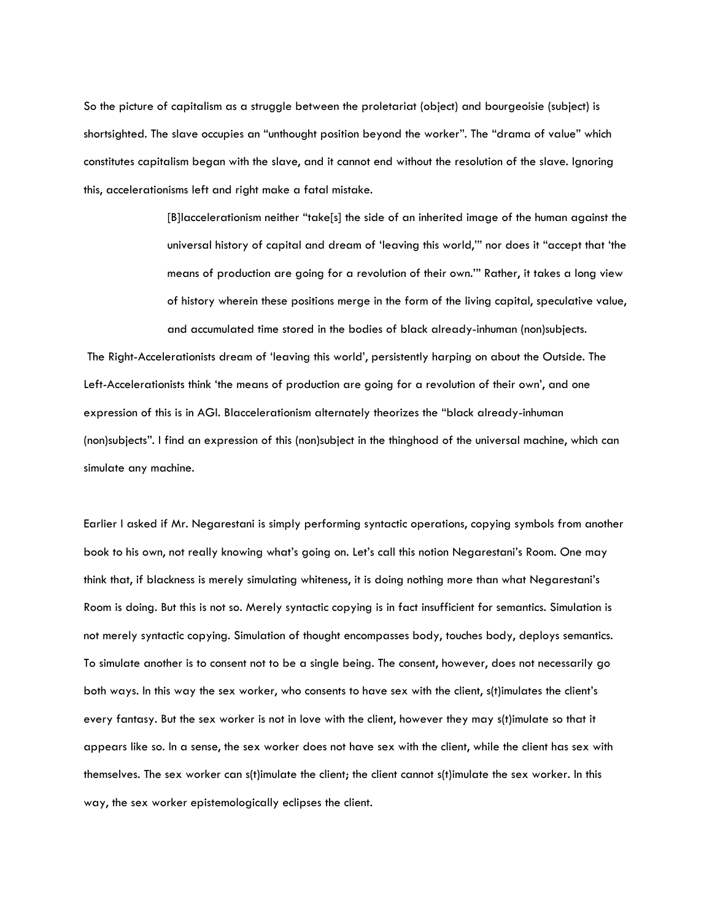So the picture of capitalism as a struggle between the proletariat (object) and bourgeoisie (subject) is shortsighted. The slave occupies an "unthought position beyond the worker". The "drama of value" which constitutes capitalism began with the slave, and it cannot end without the resolution of the slave. Ignoring this, accelerationisms left and right make a fatal mistake.

> [B]laccelerationism neither "take[s] the side of an inherited image of the human against the universal history of capital and dream of 'leaving this world,'" nor does it "accept that 'the means of production are going for a revolution of their own.'" Rather, it takes a long view of history wherein these positions merge in the form of the living capital, speculative value, and accumulated time stored in the bodies of black already-inhuman (non)subjects.

The Right-Accelerationists dream of 'leaving this world', persistently harping on about the Outside. The Left-Accelerationists think 'the means of production are going for a revolution of their own', and one expression of this is in AGI. Blaccelerationism alternately theorizes the "black already-inhuman (non)subjects". I find an expression of this (non)subject in the thinghood of the universal machine, which can simulate any machine.

Earlier I asked if Mr. Negarestani is simply performing syntactic operations, copying symbols from another book to his own, not really knowing what's going on. Let's call this notion Negarestani's Room. One may think that, if blackness is merely simulating whiteness, it is doing nothing more than what Negarestani's Room is doing. But this is not so. Merely syntactic copying is in fact insufficient for semantics. Simulation is not merely syntactic copying. Simulation of thought encompasses body, touches body, deploys semantics. To simulate another is to consent not to be a single being. The consent, however, does not necessarily go both ways. In this way the sex worker, who consents to have sex with the client, s(t)imulates the client's every fantasy. But the sex worker is not in love with the client, however they may s(t)imulate so that it appears like so. In a sense, the sex worker does not have sex with the client, while the client has sex with themselves. The sex worker can s(t)imulate the client; the client cannot s(t)imulate the sex worker. In this way, the sex worker epistemologically eclipses the client.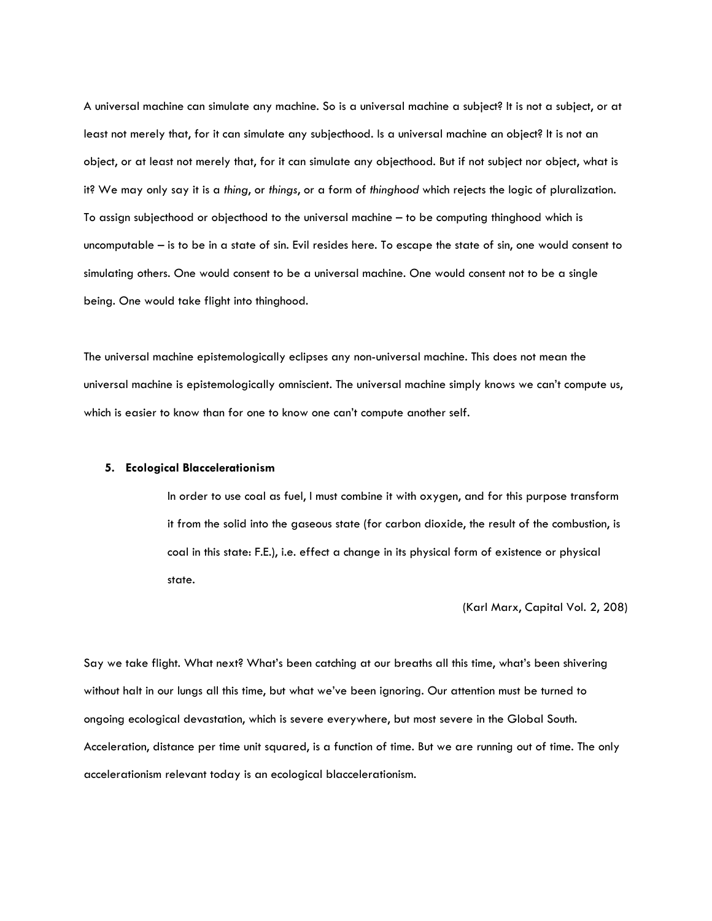A universal machine can simulate any machine. So is a universal machine a subject? It is not a subject, or at least not merely that, for it can simulate any subjecthood. Is a universal machine an object? It is not an object, or at least not merely that, for it can simulate any objecthood. But if not subject nor object, what is it? We may only say it is a *thing*, or *things*, or a form of *thinghood* which rejects the logic of pluralization. To assign subjecthood or objecthood to the universal machine – to be computing thinghood which is uncomputable – is to be in a state of sin. Evil resides here. To escape the state of sin, one would consent to simulating others. One would consent to be a universal machine. One would consent not to be a single being. One would take flight into thinghood.

The universal machine epistemologically eclipses any non-universal machine. This does not mean the universal machine is epistemologically omniscient. The universal machine simply knows we can't compute us, which is easier to know than for one to know one can't compute another self.

# **5. Ecological Blaccelerationism**

In order to use coal as fuel, I must combine it with oxygen, and for this purpose transform it from the solid into the gaseous state (for carbon dioxide, the result of the combustion, is coal in this state: F.E.), i.e. effect a change in its physical form of existence or physical state.

# (Karl Marx, Capital Vol. 2, 208)

Say we take flight. What next? What's been catching at our breaths all this time, what's been shivering without halt in our lungs all this time, but what we've been ignoring. Our attention must be turned to ongoing ecological devastation, which is severe everywhere, but most severe in the Global South. Acceleration, distance per time unit squared, is a function of time. But we are running out of time. The only accelerationism relevant today is an ecological blaccelerationism.